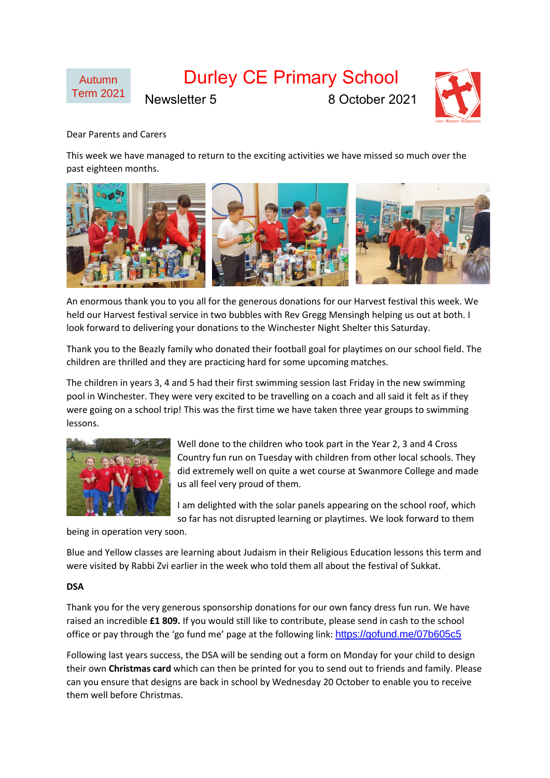



## Dear Parents and Carers

This week we have managed to return to the exciting activities we have missed so much over the past eighteen months.



An enormous thank you to you all for the generous donations for our Harvest festival this week. We held our Harvest festival service in two bubbles with Rev Gregg Mensingh helping us out at both. I look forward to delivering your donations to the Winchester Night Shelter this Saturday.

Thank you to the Beazly family who donated their football goal for playtimes on our school field. The children are thrilled and they are practicing hard for some upcoming matches.

The children in years 3, 4 and 5 had their first swimming session last Friday in the new swimming pool in Winchester. They were very excited to be travelling on a coach and all said it felt as if they were going on a school trip! This was the first time we have taken three year groups to swimming lessons.



Well done to the children who took part in the Year 2, 3 and 4 Cross Country fun run on Tuesday with children from other local schools. They did extremely well on quite a wet course at Swanmore College and made us all feel very proud of them.

I am delighted with the solar panels appearing on the school roof, which so far has not disrupted learning or playtimes. We look forward to them

being in operation very soon.

Blue and Yellow classes are learning about Judaism in their Religious Education lessons this term and were visited by Rabbi Zvi earlier in the week who told them all about the festival of Sukkat.

## **DSA**

Thank you for the very generous sponsorship donations for our own fancy dress fun run. We have raised an incredible **£1 809.** If you would still like to contribute, please send in cash to the school office or pay through the 'go fund me' page at the following link: <https://gofund.me/07b605c5>

Following last years success, the DSA will be sending out a form on Monday for your child to design their own **Christmas card** which can then be printed for you to send out to friends and family. Please can you ensure that designs are back in school by Wednesday 20 October to enable you to receive them well before Christmas.